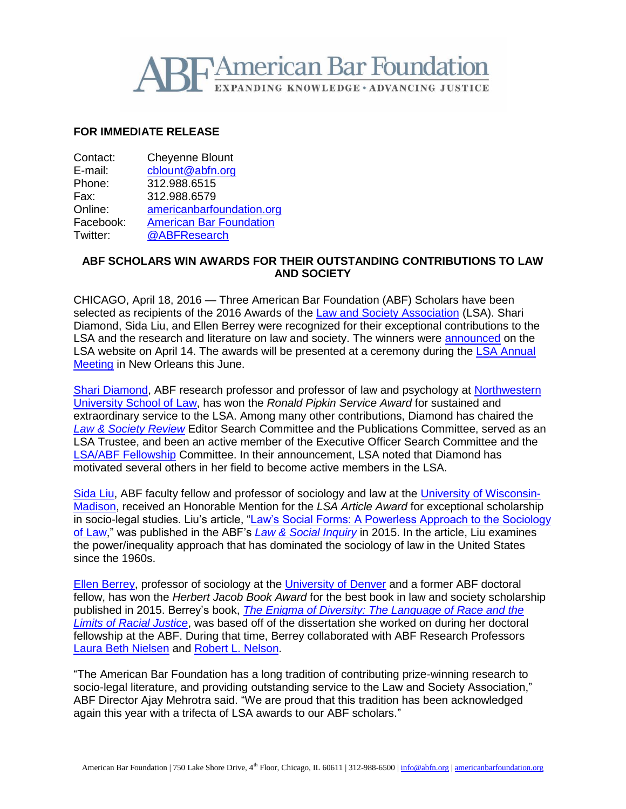

## **FOR IMMEDIATE RELEASE**

| Contact:  | <b>Cheyenne Blount</b>         |
|-----------|--------------------------------|
| E-mail:   | cblount@abfn.org               |
| Phone:    | 312.988.6515                   |
| Fax:      | 312.988.6579                   |
| Online:   | americanbarfoundation.org      |
| Facebook: | <b>American Bar Foundation</b> |
| Twitter:  | @ABFResearch                   |

## **ABF SCHOLARS WIN AWARDS FOR THEIR OUTSTANDING CONTRIBUTIONS TO LAW AND SOCIETY**

CHICAGO, April 18, 2016 — Three American Bar Foundation (ABF) Scholars have been selected as recipients of the 2016 Awards of the [Law and Society Association](http://www.lawandsociety.org/index.html) (LSA). Shari Diamond, Sida Liu, and Ellen Berrey were recognized for their exceptional contributions to the LSA and the research and literature on law and society. The winners were [announced](http://www.lawandsociety.org/prizes/2016_award_winners.html) on the LSA website on April 14. The awards will be presented at a ceremony during the [LSA Annual](http://www.lawandsociety.org/NewOrleans2016/neworleans2016.html)  [Meeting](http://www.lawandsociety.org/NewOrleans2016/neworleans2016.html) in New Orleans this June.

[Shari Diamond,](http://www.americanbarfoundation.org/faculty/profile/6) ABF research professor and professor of law and psychology at [Northwestern](http://www.law.northwestern.edu/)  [University School of Law,](http://www.law.northwestern.edu/) has won the *Ronald Pipkin Service Award* for sustained and extraordinary service to the LSA. Among many other contributions, Diamond has chaired the *[Law & Society Review](http://www.lawandsociety.org/review.html)* Editor Search Committee and the Publications Committee, served as an LSA Trustee, and been an active member of the Executive Officer Search Committee and the [LSA/ABF Fellowship](http://www.americanbarfoundation.org/research/Fellowshipopportunities/LawandSocialScienceDissertationFellowshipMentoringProgram.html) Committee. In their announcement, LSA noted that Diamond has motivated several others in her field to become active members in the LSA.

[Sida Liu,](http://www.americanbarfoundation.org/faculty/profile/33) ABF faculty fellow and professor of sociology and law at the [University of Wisconsin-](http://www.wisc.edu/)[Madison,](http://www.wisc.edu/) received an Honorable Mention for the *LSA Article Award* for exceptional scholarship in socio-legal studies. Liu's article, ["Law's Social Forms: A Powerless Approach to the Sociology](http://onlinelibrary.wiley.com/doi/10.1111/lsi.12105/abstract)  [of Law,](http://onlinelibrary.wiley.com/doi/10.1111/lsi.12105/abstract)" was published in the ABF's *[Law & Social Inquiry](http://www.americanbarfoundation.org/publications/lawsocialinquiry.html)* in 2015. In the article, Liu examines the power/inequality approach that has dominated the sociology of law in the United States since the 1960s.

[Ellen Berrey,](http://www.americanbarfoundation.org/faculty/ResearchCommunity/Affiliated_Faculty/Ellen_Berrey.html) professor of sociology at the [University of Denver](http://www.du.edu/index.html) and a former ABF doctoral fellow, has won the *Herbert Jacob Book Award* for the best book in law and society scholarship published in 2015. Berrey's book, *[The Enigma of Diversity: The Language of Race and](http://press.uchicago.edu/ucp/books/book/chicago/E/bo19910067.html) the [Limits of Racial Justice](http://press.uchicago.edu/ucp/books/book/chicago/E/bo19910067.html)*, was based off of the dissertation she worked on during her doctoral fellowship at the ABF. During that time, Berrey collaborated with ABF Research Professors [Laura Beth Nielsen](http://www.americanbarfoundation.org/faculty/profile/20) and [Robert L. Nelson.](http://www.americanbarfoundation.org/faculty/profile/19)

"The American Bar Foundation has a long tradition of contributing prize-winning research to socio-legal literature, and providing outstanding service to the Law and Society Association," ABF Director Ajay Mehrotra said. "We are proud that this tradition has been acknowledged again this year with a trifecta of LSA awards to our ABF scholars."